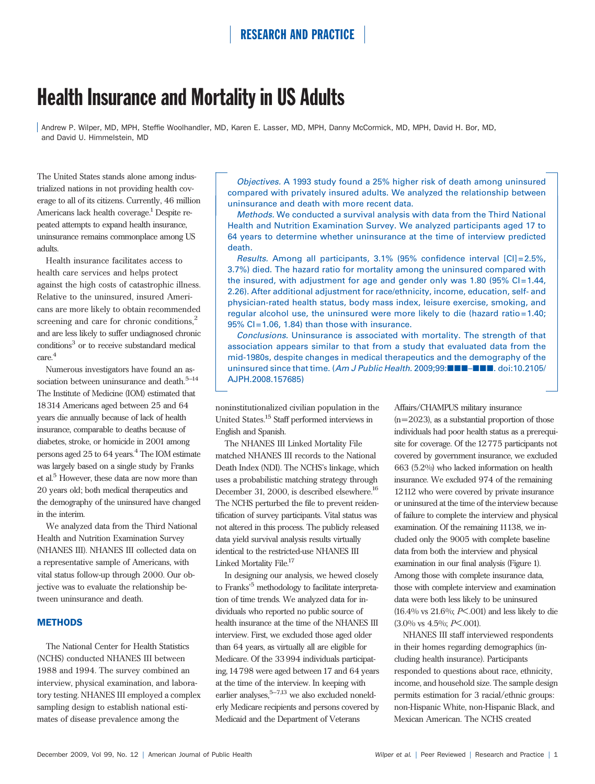# Health Insurance and Mortality in US Adults

Andrew P. Wilper, MD, MPH, Steffie Woolhandler, MD, Karen E. Lasser, MD, MPH, Danny McCormick, MD, MPH, David H. Bor, MD, and David U. Himmelstein, MD

The United States stands alone among industrialized nations in not providing health coverage to all of its citizens. Currently, 46 million Americans lack health coverage.<sup>1</sup> Despite repeated attempts to expand health insurance, uninsurance remains commonplace among US adults.

Health insurance facilitates access to health care services and helps protect against the high costs of catastrophic illness. Relative to the uninsured, insured Americans are more likely to obtain recommended screening and care for chronic conditions,<sup>2</sup> and are less likely to suffer undiagnosed chronic conditions<sup>3</sup> or to receive substandard medical care.<sup>4</sup>

Numerous investigators have found an association between uninsurance and death. $5-14$ The Institute of Medicine (IOM) estimated that 18314 Americans aged between 25 and 64 years die annually because of lack of health insurance, comparable to deaths because of diabetes, stroke, or homicide in 2001 among persons aged 25 to 64 years.4 The IOM estimate was largely based on a single study by Franks et al.<sup>5</sup> However, these data are now more than 20 years old; both medical therapeutics and the demography of the uninsured have changed in the interim.

We analyzed data from the Third National Health and Nutrition Examination Survey (NHANES III). NHANES III collected data on a representative sample of Americans, with vital status follow-up through 2000. Our objective was to evaluate the relationship between uninsurance and death.

### **METHODS**

The National Center for Health Statistics (NCHS) conducted NHANES III between 1988 and 1994. The survey combined an interview, physical examination, and laboratory testing. NHANES III employed a complex sampling design to establish national estimates of disease prevalence among the

Objectives. A 1993 study found a 25% higher risk of death among uninsured compared with privately insured adults. We analyzed the relationship between uninsurance and death with more recent data.

Methods. We conducted a survival analysis with data from the Third National Health and Nutrition Examination Survey. We analyzed participants aged 17 to 64 years to determine whether uninsurance at the time of interview predicted death.

Results. Among all participants, 3.1% (95% confidence interval [CI] = 2.5%, 3.7%) died. The hazard ratio for mortality among the uninsured compared with the insured, with adjustment for age and gender only was 1.80 (95%  $Cl = 1.44$ , 2.26). After additional adjustment for race/ethnicity, income, education, self- and physician-rated health status, body mass index, leisure exercise, smoking, and regular alcohol use, the uninsured were more likely to die (hazard ratio=1.40;  $95\%$  CI = 1.06, 1.84) than those with insurance.

Conclusions. Uninsurance is associated with mortality. The strength of that association appears similar to that from a study that evaluated data from the mid-1980s, despite changes in medical therapeutics and the demography of the uninsured since that time. (Am J Public Health. 2009;99: $\blacksquare\blacksquare\blacksquare\blacksquare\blacksquare\blacksquare$ . doi:10.2105/ AJPH.2008.157685)

noninstitutionalized civilian population in the United States.15 Staff performed interviews in English and Spanish.

The NHANES III Linked Mortality File matched NHANES III records to the National Death Index (NDI). The NCHS's linkage, which uses a probabilistic matching strategy through December 31, 2000, is described elsewhere.<sup>16</sup> The NCHS perturbed the file to prevent reidentification of survey participants. Vital status was not altered in this process. The publicly released data yield survival analysis results virtually identical to the restricted-use NHANES III Linked Mortality File.<sup>17</sup>

In designing our analysis, we hewed closely to Franks'<sup>5</sup> methodology to facilitate interpretation of time trends. We analyzed data for individuals who reported no public source of health insurance at the time of the NHANES III interview. First, we excluded those aged older than 64 years, as virtually all are eligible for Medicare. Of the 33994 individuals participating, 14798 were aged between 17 and 64 years at the time of the interview. In keeping with earlier analyses, $5-7,13$  we also excluded nonelderly Medicare recipients and persons covered by Medicaid and the Department of Veterans

Affairs/CHAMPUS military insurance

 $(n=2023)$ , as a substantial proportion of those individuals had poor health status as a prerequisite for coverage. Of the 12775 participants not covered by government insurance, we excluded 663 (5.2%) who lacked information on health insurance. We excluded 974 of the remaining 12112 who were covered by private insurance or uninsured at the time of the interview because of failure to complete the interview and physical examination. Of the remaining 11138, we included only the 9005 with complete baseline data from both the interview and physical examination in our final analysis (Figure 1). Among those with complete insurance data, those with complete interview and examination data were both less likely to be uninsured  $(16.4\% \text{ vs } 21.6\%; P \leq .001)$  and less likely to die (3.0% vs 4.5%; P<.001).

NHANES III staff interviewed respondents in their homes regarding demographics (including health insurance). Participants responded to questions about race, ethnicity, income, and household size. The sample design permits estimation for 3 racial/ethnic groups: non-Hispanic White, non-Hispanic Black, and Mexican American. The NCHS created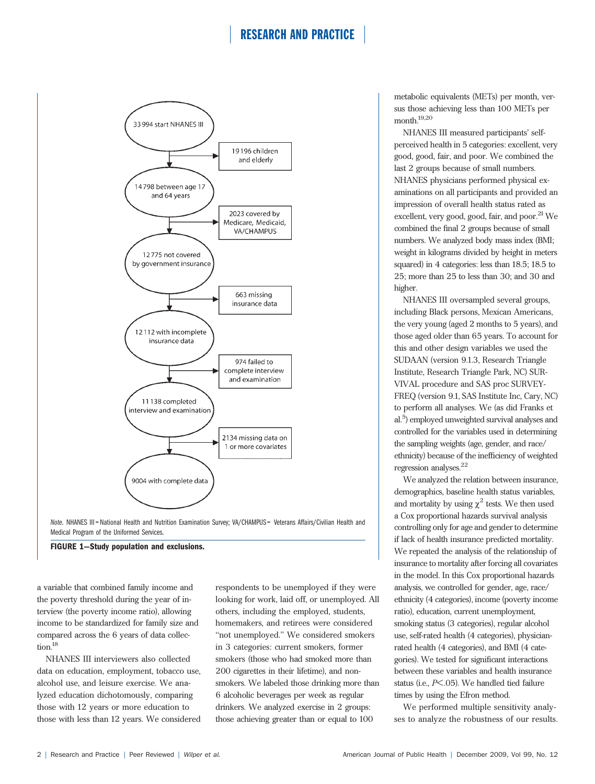

Note. NHANES III = National Health and Nutrition Examination Survey; VA/CHAMPUS = Veterans Affairs/Civilian Health and Medical Program of the Uniformed Services.

FIGURE 1—Study population and exclusions.

a variable that combined family income and the poverty threshold during the year of interview (the poverty income ratio), allowing income to be standardized for family size and compared across the 6 years of data collection.<sup>18</sup>

NHANES III interviewers also collected data on education, employment, tobacco use, alcohol use, and leisure exercise. We analyzed education dichotomously, comparing those with 12 years or more education to those with less than 12 years. We considered respondents to be unemployed if they were looking for work, laid off, or unemployed. All others, including the employed, students, homemakers, and retirees were considered ''not unemployed.'' We considered smokers in 3 categories: current smokers, former smokers (those who had smoked more than 200 cigarettes in their lifetime), and nonsmokers. We labeled those drinking more than 6 alcoholic beverages per week as regular drinkers. We analyzed exercise in 2 groups: those achieving greater than or equal to 100

metabolic equivalents (METs) per month, versus those achieving less than 100 METs per month. $^{19,20}$ 

NHANES III measured participants' selfperceived health in 5 categories: excellent, very good, good, fair, and poor. We combined the last 2 groups because of small numbers. NHANES physicians performed physical examinations on all participants and provided an impression of overall health status rated as excellent, very good, good, fair, and poor.<sup>21</sup> We combined the final 2 groups because of small numbers. We analyzed body mass index (BMI; weight in kilograms divided by height in meters squared) in 4 categories: less than 18.5; 18.5 to 25; more than 25 to less than 30; and 30 and higher.

NHANES III oversampled several groups, including Black persons, Mexican Americans, the very young (aged 2 months to 5 years), and those aged older than 65 years. To account for this and other design variables we used the SUDAAN (version 9.1.3, Research Triangle Institute, Research Triangle Park, NC) SUR-VIVAL procedure and SAS proc SURVEY-FREQ (version 9.1, SAS Institute Inc, Cary, NC) to perform all analyses. We (as did Franks et al.<sup>5</sup>) employed unweighted survival analyses and controlled for the variables used in determining the sampling weights (age, gender, and race/ ethnicity) because of the inefficiency of weighted regression analyses.<sup>22</sup>

We analyzed the relation between insurance, demographics, baseline health status variables, and mortality by using  $\chi^2$  tests. We then used a Cox proportional hazards survival analysis controlling only for age and gender to determine if lack of health insurance predicted mortality. We repeated the analysis of the relationship of insurance to mortality after forcing all covariates in the model. In this Cox proportional hazards analysis, we controlled for gender, age, race/ ethnicity (4 categories), income (poverty income ratio), education, current unemployment, smoking status (3 categories), regular alcohol use, self-rated health (4 categories), physicianrated health (4 categories), and BMI (4 categories). We tested for significant interactions between these variables and health insurance status (i.e., P<.05). We handled tied failure times by using the Efron method.

We performed multiple sensitivity analyses to analyze the robustness of our results.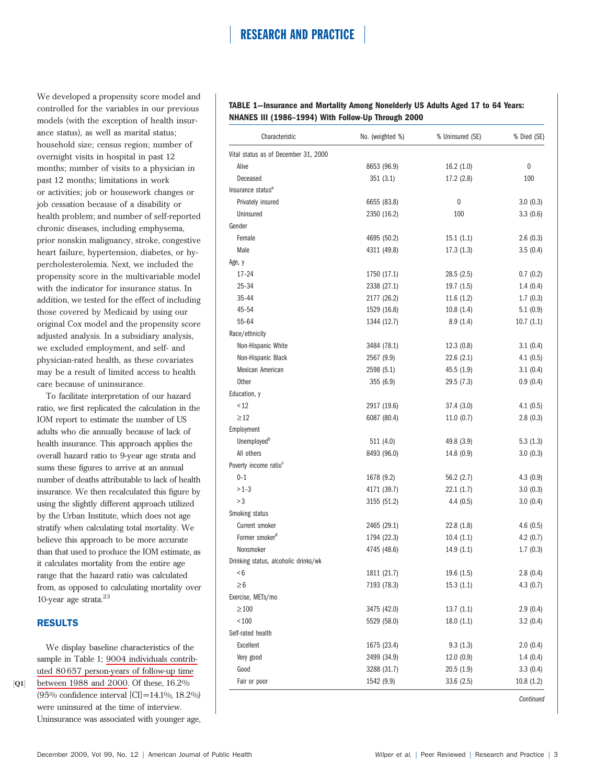We developed a propensity score model and controlled for the variables in our previous models (with the exception of health insurance status), as well as marital status; household size; census region; number of overnight visits in hospital in past 12 months; number of visits to a physician in past 12 months; limitations in work or activities; job or housework changes or job cessation because of a disability or health problem; and number of self-reported chronic diseases, including emphysema, prior nonskin malignancy, stroke, congestive heart failure, hypertension, diabetes, or hypercholesterolemia. Next, we included the propensity score in the multivariable model with the indicator for insurance status. In addition, we tested for the effect of including those covered by Medicaid by using our original Cox model and the propensity score adjusted analysis. In a subsidiary analysis, we excluded employment, and self- and physician-rated health, as these covariates may be a result of limited access to health care because of uninsurance.

To facilitate interpretation of our hazard ratio, we first replicated the calculation in the IOM report to estimate the number of US adults who die annually because of lack of health insurance. This approach applies the overall hazard ratio to 9-year age strata and sums these figures to arrive at an annual number of deaths attributable to lack of health insurance. We then recalculated this figure by using the slightly different approach utilized by the Urban Institute, which does not age stratify when calculating total mortality. We believe this approach to be more accurate than that used to produce the IOM estimate, as it calculates mortality from the entire age range that the hazard ratio was calculated from, as opposed to calculating mortality over 10-year age strata. $23$ 

### RESULTS

 $[Q1]$ 

We display baseline characteristics of the sample in Table 1; 9004 individuals contributed 80657 person-years of follow-up time between 1988 and 2000. Of these, 16.2% (95% confidence interval [CI]=14.1%, 18.2%) were uninsured at the time of interview. Uninsurance was associated with younger age,

TABLE 1—Insurance and Mortality Among Nonelderly US Adults Aged 17 to 64 Years: NHANES III (1986–1994) With Follow-Up Through 2000

| Characteristic                       | No. (weighted %) | % Uninsured (SE) | % Died (SE) |
|--------------------------------------|------------------|------------------|-------------|
| Vital status as of December 31, 2000 |                  |                  |             |
| Alive                                | 8653 (96.9)      | 16.2(1.0)        | 0           |
| Deceased                             | 351(3.1)         | 17.2 (2.8)       | 100         |
| Insurance status <sup>a</sup>        |                  |                  |             |
| Privately insured                    | 6655 (83.8)      | 0                | 3.0(0.3)    |
| Uninsured                            | 2350 (16.2)      | 100              | 3.3(0.6)    |
| Gender                               |                  |                  |             |
| Female                               | 4695 (50.2)      | 15.1(1.1)        | 2.6(0.3)    |
| Male                                 | 4311 (49.8)      | 17.3(1.3)        | 3.5(0.4)    |
| Age, y                               |                  |                  |             |
| $17 - 24$                            | 1750 (17.1)      | 28.5 (2.5)       | 0.7(0.2)    |
| $25 - 34$                            | 2338 (27.1)      | 19.7 (1.5)       | 1.4(0.4)    |
| $35 - 44$                            | 2177 (26.2)      | 11.6(1.2)        | 1.7(0.3)    |
| $45 - 54$                            | 1529 (16.8)      | 10.8(1.4)        | 5.1(0.9)    |
| $55 - 64$                            | 1344 (12.7)      | 8.9(1.4)         | 10.7(1.1)   |
| Race/ethnicity                       |                  |                  |             |
| Non-Hispanic White                   | 3484 (78.1)      | 12.3(0.8)        | 3.1(0.4)    |
| Non-Hispanic Black                   | 2567 (9.9)       | 22.6(2.1)        | 4.1(0.5)    |
| Mexican American                     | 2598 (5.1)       | 45.5 (1.9)       | 3.1(0.4)    |
| Other                                | 355 (6.9)        | 29.5 (7.3)       | 0.9(0.4)    |
| Education, y                         |                  |                  |             |
| < 12                                 | 2917 (19.6)      | 37.4 (3.0)       | 4.1(0.5)    |
| $\geq$ 12                            | 6087 (80.4)      | 11.0(0.7)        | 2.8(0.3)    |
| Employment                           |                  |                  |             |
| Unemployed <sup>b</sup>              | 511 (4.0)        | 49.8 (3.9)       | 5.3(1.3)    |
| All others                           | 8493 (96.0)      | 14.8 (0.9)       | 3.0(0.3)    |
| Poverty income ratio <sup>c</sup>    |                  |                  |             |
| $0 - 1$                              | 1678 (9.2)       | 56.2 (2.7)       | 4.3(0.9)    |
| $>1-3$                               | 4171 (39.7)      | 22.1(1.7)        | 3.0(0.3)    |
| >3                                   | 3155 (51.2)      | 4.4(0.5)         | 3.0(0.4)    |
| Smoking status                       |                  |                  |             |
| Current smoker                       | 2465 (29.1)      | 22.8(1.8)        | 4.6(0.5)    |
| Former smoker <sup>d</sup>           | 1794 (22.3)      | 10.4(1.1)        | 4.2(0.7)    |
| Nonsmoker                            | 4745 (48.6)      | 14.9(1.1)        | 1.7(0.3)    |
| Drinking status, alcoholic drinks/wk |                  |                  |             |
| -6                                   | 1811 (21.7)      | 19.6 (1.5)       | 2.8(0.4)    |
| $\geq 6$                             | 7193 (78.3)      | 15.3(1.1)        | 4.3(0.7)    |
| Exercise, METs/mo                    |                  |                  |             |
| $\geq$ 100                           | 3475 (42.0)      | 13.7(1.1)        | 2.9(0.4)    |
| ${}_{<}100$                          | 5529 (58.0)      | 18.0(1.1)        | 3.2(0.4)    |
| Self-rated health                    |                  |                  |             |
| Excellent                            | 1675 (23.4)      | 9.3(1.3)         | 2.0(0.4)    |
| Very good                            | 2499 (34.9)      | 12.0(0.9)        | 1.4(0.4)    |
| Good                                 | 3288 (31.7)      | 20.5(1.9)        | 3.3(0.4)    |
| Fair or poor                         | 1542 (9.9)       | 33.6(2.5)        | 10.8(1.2)   |

**Continued**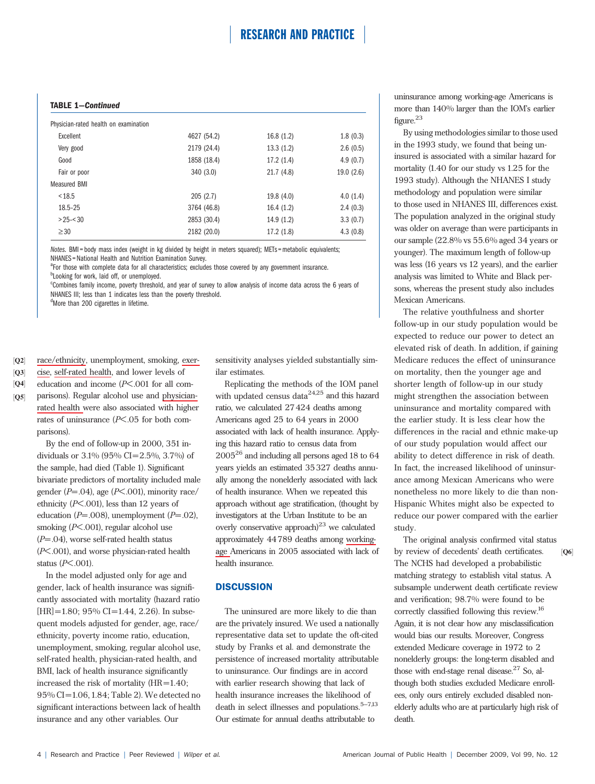### TABLE 1—Continued

| Physician-rated health on examination |             |            |           |
|---------------------------------------|-------------|------------|-----------|
| Excellent                             | 4627 (54.2) | 16.8(1.2)  | 1.8(0.3)  |
| Very good                             | 2179 (24.4) | 13.3(1.2)  | 2.6(0.5)  |
| Good                                  | 1858 (18.4) | 17.2(1.4)  | 4.9(0.7)  |
| Fair or poor                          | 340(3.0)    | 21.7(4.8)  | 19.0(2.6) |
| <b>Measured BMI</b>                   |             |            |           |
| < 18.5                                | 205(2.7)    | 19.8 (4.0) | 4.0(1.4)  |
| 18.5-25                               | 3764 (46.8) | 16.4(1.2)  | 2.4(0.3)  |
| $>25 - 30$                            | 2853 (30.4) | 14.9(1.2)  | 3.3(0.7)  |
| $\geq 30$                             | 2182 (20.0) | 17.2(1.8)  | 4.3(0.8)  |

Notes. BMI = body mass index (weight in kg divided by height in meters squared); METs = metabolic equivalents; NHANES = National Health and Nutrition Examination Survey.

<sup>a</sup>For those with complete data for all characteristics; excludes those covered by any government insurance. **bLooking for work, laid off, or unemployed.** 

c Combines family income, poverty threshold, and year of survey to allow analysis of income data across the 6 years of NHANES III; less than 1 indicates less than the poverty threshold.

<sup>d</sup>More than 200 cigarettes in lifetime.

 $[Q2]$ race/ethnicity, unemployment, smoking, exer-

 $[Q3]$ cise, self-rated health , and lower levels of

 $[Q4]$ education and income (P<.001 for all com-

parisons). Regular alcohol use and physicianrated health were also associated with higher  $[Q5]$ rates of uninsurance  $(P<.05$  for both comparisons).

> By the end of follow-up in 2000, 351 individuals or 3.1% (95% CI=2.5%, 3.7%) of the sample, had died (Table 1). Significant bivariate predictors of mortality included male gender ( $P = .04$ ), age ( $P < .001$ ), minority race/ ethnicity  $(P<.001)$ , less than 12 years of education ( $P=.008$ ), unemployment ( $P=.02$ ), smoking (P<.001), regular alcohol use  $(P=.04)$ , worse self-rated health status (P<.001), and worse physician-rated health status  $(P<.001)$ .

> In the model adjusted only for age and gender, lack of health insurance was significantly associated with mortality (hazard ratio  $[HR] = 1.80$ ; 95% CI=1.44, 2.26). In subsequent models adjusted for gender, age, race/ ethnicity, poverty income ratio, education, unemployment, smoking, regular alcohol use, self-rated health, physician-rated health, and BMI, lack of health insurance significantly increased the risk of mortality (HR=1.40; 95% CI=1.06,1.84; Table 2). We detected no significant interactions between lack of health insurance and any other variables. Our

sensitivity analyses yielded substantially similar estimates.

Replicating the methods of the IOM panel with updated census data $24,25$  and this hazard ratio, we calculated 27424 deaths among Americans aged 25 to 64 years in 2000 associated with lack of health insurance. Applying this hazard ratio to census data from  $2005^{26}$  and including all persons aged 18 to 64 years yields an estimated 35327 deaths annually among the nonelderly associated with lack of health insurance. When we repeated this approach without age stratification, (thought by investigators at the Urban Institute to be an overly conservative approach) $^{23}$  we calculated approximately 44789 deaths among workinghealth insurance.

### **DISCUSSION**

The uninsured are more likely to die than are the privately insured. We used a nationally representative data set to update the oft-cited study by Franks et al. and demonstrate the persistence of increased mortality attributable to uninsurance. Our findings are in accord with earlier research showing that lack of health insurance increases the likelihood of death in select illnesses and populations. $5-7,13$ Our estimate for annual deaths attributable to

uninsurance among working-age Americans is more than 140% larger than the IOM's earlier figure.<sup>23</sup>

By using methodologies similar to those used in the 1993 study, we found that being uninsured is associated with a similar hazard for mortality (1.40 for our study vs 1.25 for the 1993 study). Although the NHANES I study methodology and population were similar to those used in NHANES III, differences exist. The population analyzed in the original study was older on average than were participants in our sample (22.8% vs 55.6% aged 34 years or younger). The maximum length of follow-up was less (16 years vs 12 years), and the earlier analysis was limited to White and Black persons, whereas the present study also includes Mexican Americans.

The relative youthfulness and shorter follow-up in our study population would be expected to reduce our power to detect an elevated risk of death. In addition, if gaining Medicare reduces the effect of uninsurance on mortality, then the younger age and shorter length of follow-up in our study might strengthen the association between uninsurance and mortality compared with the earlier study. It is less clear how the differences in the racial and ethnic make-up of our study population would affect our ability to detect difference in risk of death. In fact, the increased likelihood of uninsurance among Mexican Americans who were nonetheless no more likely to die than non-Hispanic Whites might also be expected to reduce our power compared with the earlier study.

age Americans in 2005 associated with lack of  $\qquad$  by review of decedents' death certificates.  $[Q6]$ The original analysis confirmed vital status by review of decedents' death certificates. The NCHS had developed a probabilistic matching strategy to establish vital status. A subsample underwent death certificate review and verification; 98.7% were found to be correctly classified following this review.16 Again, it is not clear how any misclassification would bias our results. Moreover, Congress extended Medicare coverage in 1972 to 2 nonelderly groups: the long-term disabled and those with end-stage renal disease.<sup>27</sup> So, although both studies excluded Medicare enrollees, only ours entirely excluded disabled nonelderly adults who are at particularly high risk of death.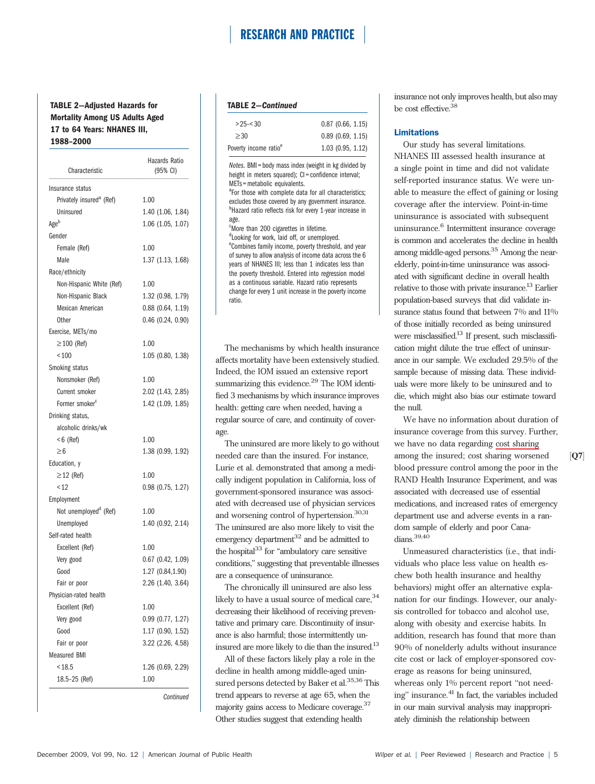### TABLE 2—Adjusted Hazards for Mortality Among US Adults Aged 17 to 64 Years: NHANES III, 1988–2000

| Characteristic                       | <b>Hazards Ratio</b><br>(95% CI) |  |
|--------------------------------------|----------------------------------|--|
| Insurance status                     |                                  |  |
| Privately insured <sup>a</sup> (Ref) | 1.00                             |  |
| Uninsured                            | 1.40 (1.06, 1.84)                |  |
| Ageb                                 | $1.06$ (1.05, 1.07)              |  |
| Gender                               |                                  |  |
| Female (Ref)                         | 1.00                             |  |
| Male                                 | 1.37 (1.13, 1.68)                |  |
| Race/ethnicity                       |                                  |  |
| Non-Hispanic White (Ref)             | 1.00                             |  |
| Non-Hispanic Black                   | 1.32 (0.98, 1.79)                |  |
| Mexican American                     | $0.88$ (0.64, 1.19)              |  |
| <b>Other</b>                         | $0.46$ (0.24, 0.90)              |  |
| Exercise, METs/mo                    |                                  |  |
| $\geq$ 100 (Ref)                     | 1.00                             |  |
| ${}_{100}$                           | 1.05 (0.80, 1.38)                |  |
| Smoking status                       |                                  |  |
| Nonsmoker (Ref)                      | 1.00                             |  |
| Current smoker                       | 2.02 (1.43, 2.85)                |  |
| Former smoker <sup>c</sup>           | 1.42 (1.09, 1.85)                |  |
| Drinking status,                     |                                  |  |
| alcoholic drinks/wk                  |                                  |  |
| $< 6$ (Ref)                          | 1.00                             |  |
| $\geq 6$                             | 1.38 (0.99, 1.92)                |  |
| Education, y                         |                                  |  |
| $\geq$ 12 (Ref)                      | 1.00                             |  |
| < 12                                 | 0.98 (0.75, 1.27)                |  |
| Employment                           |                                  |  |
| Not unemployed <sup>d</sup> (Ref)    | 1.00                             |  |
| Unemployed                           | 1.40 (0.92, 2.14)                |  |
| Self-rated health                    |                                  |  |
| Excellent (Ref)                      | 1.00                             |  |
| Very good                            | $0.67$ $(0.42, 1.09)$            |  |
| Good                                 | 1.27 (0.84,1.90)                 |  |
| Fair or poor                         | 2.26 (1.40, 3.64)                |  |
| Physician-rated health               |                                  |  |
| Excellent (Ref)                      | 1.00                             |  |
| Very good                            | 0.99 (0.77, 1.27)                |  |
| Good                                 | 1.17 (0.90, 1.52)                |  |
| Fair or poor                         | 3.22 (2.26, 4.58)                |  |
| <b>Measured BMI</b>                  |                                  |  |
| < 18.5                               | 1.26 (0.69, 2.29)                |  |
| 18.5-25 (Ref)                        | 1.00                             |  |

**Continued** 

#### TABLE 2—Continued

| Poverty income ratio <sup>e</sup> | 1.03(0.95, 1.12)    |
|-----------------------------------|---------------------|
| > 30                              | 0.89(0.69, 1.15)    |
| $>25 - 30$                        | $0.87$ (0.66, 1.15) |
|                                   |                     |

Notes. BMI = body mass index (weight in kg divided by height in meters squared); CI = confidence interval; METs = metabolic equivalents.

<sup>a</sup>For those with complete data for all characteristics; excludes those covered by any government insurance. **Hazard ratio reflects risk for every 1-year increase in** age.

More than 200 cigarettes in lifetime. <sup>d</sup> Looking for work, laid off, or unemployed. eCombines family income, poverty threshold, and year of survey to allow analysis of income data across the 6 years of NHANES III; less than 1 indicates less than the poverty threshold. Entered into regression model as a continuous variable. Hazard ratio represents change for every 1 unit increase in the poverty income ratio.

The mechanisms by which health insurance affects mortality have been extensively studied. Indeed, the IOM issued an extensive report summarizing this evidence.<sup>29</sup> The IOM identified 3 mechanisms by which insurance improves health: getting care when needed, having a regular source of care, and continuity of coverage.

The uninsured are more likely to go without needed care than the insured. For instance, Lurie et al. demonstrated that among a medically indigent population in California, loss of government-sponsored insurance was associated with decreased use of physician services and worsening control of hypertension.<sup>30,31</sup> The uninsured are also more likely to visit the emergency department $32$  and be admitted to the hospital $^{33}$  for "ambulatory care sensitive conditions,'' suggesting that preventable illnesses are a consequence of uninsurance.

The chronically ill uninsured are also less likely to have a usual source of medical care, 34 decreasing their likelihood of receiving preventative and primary care. Discontinuity of insurance is also harmful; those intermittently uninsured are more likely to die than the insured.<sup>13</sup>

All of these factors likely play a role in the decline in health among middle-aged uninsured persons detected by Baker et al.<sup>35,36</sup> This trend appears to reverse at age 65, when the majority gains access to Medicare coverage.<sup>37</sup> Other studies suggest that extending health

insurance not only improves health, but also may be cost effective.38

#### Limitations

Our study has several limitations. NHANES III assessed health insurance at a single point in time and did not validate self-reported insurance status. We were unable to measure the effect of gaining or losing coverage after the interview. Point-in-time uninsurance is associated with subsequent uninsurance.<sup>6</sup> Intermittent insurance coverage is common and accelerates the decline in health among middle-aged persons.<sup>35</sup> Among the nearelderly, point-in-time uninsurance was associated with significant decline in overall health relative to those with private insurance.<sup>13</sup> Earlier population-based surveys that did validate insurance status found that between 7% and  $11\%$ of those initially recorded as being uninsured were misclassified.<sup>13</sup> If present, such misclassification might dilute the true effect of uninsurance in our sample. We excluded 29.5% of the sample because of missing data. These individuals were more likely to be uninsured and to die, which might also bias our estimate toward the null.

We have no information about duration of insurance coverage from this survey. Further, we have no data regarding cost sharing among the insured; cost sharing worsened blood pressure control among the poor in the RAND Health Insurance Experiment, and was associated with decreased use of essential medications, and increased rates of emergency department use and adverse events in a random sample of elderly and poor Canadians.<sup>39,40</sup>

Unmeasured characteristics (i.e., that individuals who place less value on health eschew both health insurance and healthy behaviors) might offer an alternative explanation for our findings. However, our analysis controlled for tobacco and alcohol use, along with obesity and exercise habits. In addition, research has found that more than 90% of nonelderly adults without insurance cite cost or lack of employer-sponsored coverage as reasons for being uninsured, whereas only 1% percent report "not needing" insurance.<sup>41</sup> In fact, the variables included in our main survival analysis may inappropriately diminish the relationship between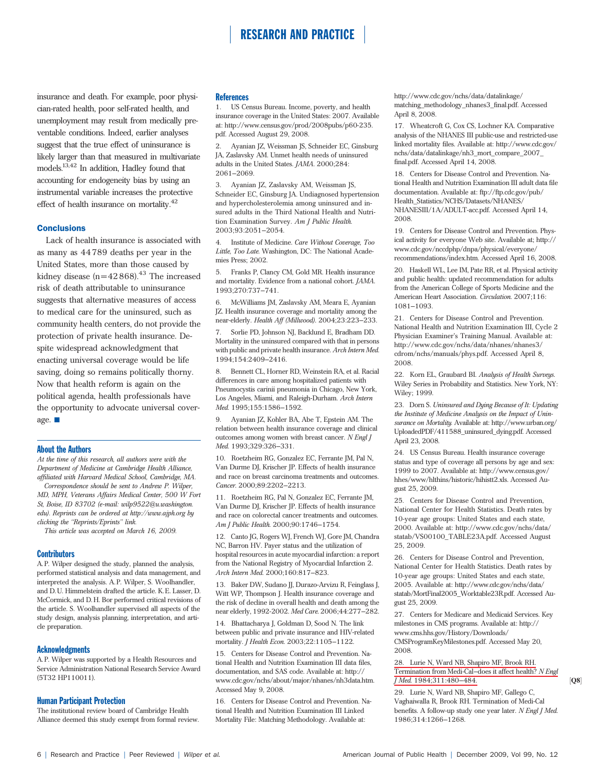insurance and death. For example, poor physician-rated health, poor self-rated health, and unemployment may result from medically preventable conditions. Indeed, earlier analyses suggest that the true effect of uninsurance is likely larger than that measured in multivariate models.13,42 In addition, Hadley found that accounting for endogeneity bias by using an instrumental variable increases the protective effect of health insurance on mortality.42

#### **Conclusions**

Lack of health insurance is associated with as many as 44789 deaths per year in the United States, more than those caused by kidney disease  $(n=42868)^{43}$  The increased risk of death attributable to uninsurance suggests that alternative measures of access to medical care for the uninsured, such as community health centers, do not provide the protection of private health insurance. Despite widespread acknowledgment that enacting universal coverage would be life saving, doing so remains politically thorny. Now that health reform is again on the political agenda, health professionals have the opportunity to advocate universal coverage.  $\blacksquare$ 

#### About the Authors

At the time of this research, all authors were with the Department of Medicine at Cambridge Health Alliance, affiliated with Harvard Medical School, Cambridge, MA.

Correspondence should be sent to Andrew P. Wilper, MD, MPH, Veterans Affairs Medical Center, 500 W Fort St, Boise, ID 83702 (e-mail: wilp9522@u.washington. edu). Reprints can be ordered at http://www.ajph.org by clicking the ''Reprints/Eprints'' link.

This article was accepted on March 16, 2009.

#### **Contributors**

A. P. Wilper designed the study, planned the analysis, performed statistical analysis and data management, and interpreted the analysis. A.P. Wilper, S. Woolhandler, and D. U. Himmelstein drafted the article. K. E. Lasser, D. McCormick, and D.H. Bor performed critical revisions of the article. S. Woolhandler supervised all aspects of the study design, analysis planning, interpretation, and article preparation.

#### Acknowledgments

A. P. Wilper was supported by a Health Resources and Service Administration National Research Service Award (5T32 HP110011).

#### Human Participant Protection

The institutional review board of Cambridge Health Alliance deemed this study exempt from formal review.

#### **References**

1. US Census Bureau. Income, poverty, and health insurance coverage in the United States: 2007. Available at: http://www.census.gov/prod/2008pubs/p60-235. pdf. Accessed August 29, 2008.

2. Ayanian JZ, Weissman JS, Schneider EC, Ginsburg JA, Zaslavsky AM. Unmet health needs of uninsured adults in the United States. JAMA. 2000;284: 2061–2069.

3. Ayanian JZ, Zaslavsky AM, Weissman JS, Schneider EC, Ginsburg JA. Undiagnosed hypertension and hypercholesterolemia among uninsured and insured adults in the Third National Health and Nutrition Examination Survey. Am J Public Health. 2003;93:2051–2054.

4. Institute of Medicine. Care Without Coverage, Too Little, Too Late. Washington, DC: The National Academies Press; 2002.

5. Franks P, Clancy CM, Gold MR. Health insurance and mortality. Evidence from a national cohort. JAMA. 1993;270:737–741.

6. McWilliams JM, Zaslavsky AM, Meara E, Ayanian JZ. Health insurance coverage and mortality among the near-elderly. Health Aff (Millwood). 2004;23:223–233.

7. Sorlie PD, Johnson NJ, Backlund E, Bradham DD. Mortality in the uninsured compared with that in persons with public and private health insurance. Arch Intern Med. 1994;154:2409–2416.

8. Bennett CL, Horner RD, Weinstein RA, et al. Racial differences in care among hospitalized patients with Pneumocystis carinii pneumonia in Chicago, New York, Los Angeles, Miami, and Raleigh-Durham. Arch Intern Med. 1995;155:1586–1592.

9. Ayanian JZ, Kohler BA, Abe T, Epstein AM. The relation between health insurance coverage and clinical outcomes among women with breast cancer.  $N$  Engl  $J$ Med. 1993;329:326–331.

10. Roetzheim RG, Gonzalez EC, Ferrante JM, Pal N, Van Durme DJ, Krischer JP. Effects of health insurance and race on breast carcinoma treatments and outcomes. Cancer. 2000;89:2202–2213.

11. Roetzheim RG, Pal N, Gonzalez EC, Ferrante JM, Van Durme DJ, Krischer JP. Effects of health insurance and race on colorectal cancer treatments and outcomes. Am J Public Health. 2000;90:1746–1754.

12. Canto JG, Rogers WJ, French WJ, Gore JM, Chandra NC, Barron HV. Payer status and the utilization of hospital resources in acute myocardial infarction: a report from the National Registry of Myocardial Infarction 2. Arch Intern Med. 2000;160:817–823.

13. Baker DW, Sudano JJ, Durazo-Arvizu R, Feinglass J, Witt WP, Thompson J. Health insurance coverage and the risk of decline in overall health and death among the near elderly, 1992-2002. Med Care. 2006;44:277–282.

14. Bhattacharya J, Goldman D, Sood N. The link between public and private insurance and HIV-related mortality. J Health Econ. 2003;22:1105–1122.

15. Centers for Disease Control and Prevention. National Health and Nutrition Examination III data files, documentation, and SAS code. Available at: http:// www.cdc.gov/nchs/about/major/nhanes/nh3data.htm. Accessed May 9, 2008.

16. Centers for Disease Control and Prevention. National Health and Nutrition Examination III Linked Mortality File: Matching Methodology. Available at:

http://www.cdc.gov/nchs/data/datalinkage/ matching\_methodology\_nhanes3\_final.pdf. Accessed April 8, 2008.

17. Wheatcroft G, Cox CS, Lochner KA. Comparative analysis of the NHANES III public-use and restricted-use linked mortality files. Available at: http://www.cdc.gov/ nchs/data/datalinkage/nh3\_mort\_compare\_2007\_ final.pdf. Accessed April 14, 2008.

18. Centers for Disease Control and Prevention. National Health and Nutrition Examination III adult data file documentation. Available at: ftp://ftp.cdc.gov/pub/ Health\_Statistics/NCHS/Datasets/NHANES/ NHANESIII/1A/ADULT-acc.pdf. Accessed April 14, 2008.

19. Centers for Disease Control and Prevention. Physical activity for everyone Web site. Available at; http:// www.cdc.gov/nccdphp/dnpa/physical/everyone/ recommendations/index.htm. Accessed April 16, 2008.

20. Haskell WL, Lee IM, Pate RR, et al. Physical activity and public health: updated recommendation for adults from the American College of Sports Medicine and the American Heart Association. Circulation. 2007;116: 1081–1093.

21. Centers for Disease Control and Prevention. National Health and Nutrition Examination III, Cycle 2 Physician Examiner's Training Manual. Available at: http://www.cdc.gov/nchs/data/nhanes/nhanes3/ cdrom/nchs/manuals/phys.pdf. Accessed April 8, 2008.

22. Korn EL, Graubard BI. Analysis of Health Surveys. Wiley Series in Probability and Statistics. New York, NY: Wiley; 1999.

23. Dorn S. Uninsured and Dying Because of It: Updating the Institute of Medicine Analysis on the Impact of Uninsurance on Mortality. Available at: http://www.urban.org/ UploadedPDF/411588\_uninsured\_dying.pdf. Accessed April 23, 2008.

24. US Census Bureau. Health insurance coverage status and type of coverage all persons by age and sex: 1999 to 2007. Available at: http://www.census.gov/ hhes/www/hlthins/historic/hihistt2.xls. Accessed August 25, 2009.

25. Centers for Disease Control and Prevention, National Center for Health Statistics. Death rates by 10-year age groups: United States and each state, 2000. Available at: http://www.cdc.gov/nchs/data/ statab/VS00100\_TABLE23A.pdf. Accessed August 25, 2009.

26. Centers for Disease Control and Prevention, National Center for Health Statistics. Death rates by 10-year age groups: United States and each state, 2005. Available at: http://www.cdc.gov/nchs/data/ statab/MortFinal2005\_Worktable23R.pdf. Accessed August 25, 2009.

27. Centers for Medicare and Medicaid Services. Key milestones in CMS programs. Available at: http:// www.cms.hhs.gov/History/Downloads/ CMSProgramKeyMilestones.pdf. Accessed May 20, 2008.

#### 28. Lurie N, Ward NB, Shapiro MF, Brook RH. Termination from Medi-Cal–does it affect health? N Engl J Med. 1984;311:480-484.

29. Lurie N, Ward NB, Shapiro MF, Gallego C, Vaghaiwalla R, Brook RH. Termination of Medi-Cal benefits. A follow-up study one year later. N Engl J Med. 1986;314:1266–1268.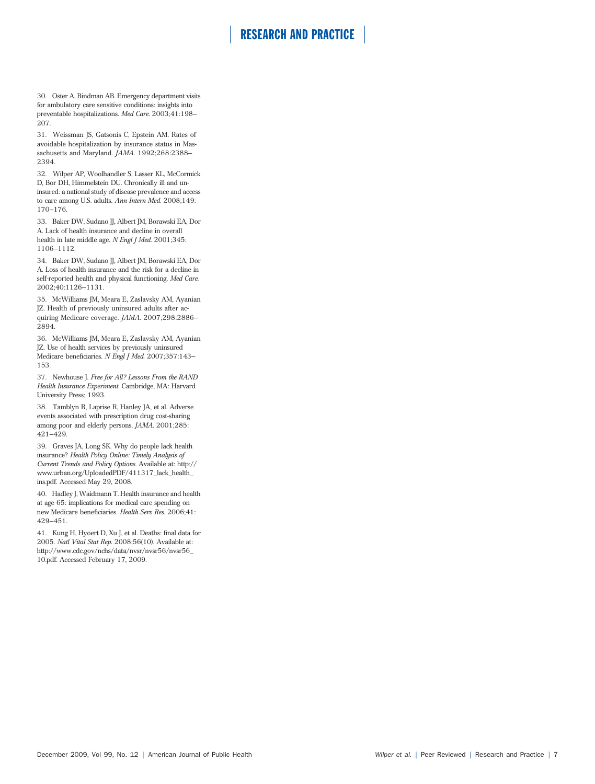30. Oster A, Bindman AB. Emergency department visits for ambulatory care sensitive conditions: insights into preventable hospitalizations. Med Care. 2003;41:198– 207.

31. Weissman JS, Gatsonis C, Epstein AM. Rates of avoidable hospitalization by insurance status in Massachusetts and Maryland. JAMA. 1992;268:2388– 2394.

32. Wilper AP, Woolhandler S, Lasser KL, McCormick D, Bor DH, Himmelstein DU. Chronically ill and uninsured: a national study of disease prevalence and access to care among U.S. adults. Ann Intern Med. 2008;149: 170–176.

33. Baker DW, Sudano JJ, Albert JM, Borawski EA, Dor A. Lack of health insurance and decline in overall health in late middle age. N Engl J Med. 2001;345: 1106–1112.

34. Baker DW, Sudano JJ, Albert JM, Borawski EA, Dor A. Loss of health insurance and the risk for a decline in self-reported health and physical functioning. Med Care. 2002;40:1126–1131.

35. McWilliams JM, Meara E, Zaslavsky AM, Ayanian JZ. Health of previously uninsured adults after acquiring Medicare coverage. JAMA. 2007;298:2886– 2894.

36. McWilliams JM, Meara E, Zaslavsky AM, Ayanian JZ. Use of health services by previously uninsured Medicare beneficiaries. N Engl J Med. 2007;357:143– 153.

37. Newhouse J. Free for All? Lessons From the RAND Health Insurance Experiment. Cambridge, MA: Harvard University Press; 1993.

38. Tamblyn R, Laprise R, Hanley JA, et al. Adverse events associated with prescription drug cost-sharing among poor and elderly persons. JAMA. 2001;285: 421–429.

39. Graves JA, Long SK. Why do people lack health insurance? Health Policy Online: Timely Analysis of Current Trends and Policy Options. Available at: http:// www.urban.org/UploadedPDF/411317\_lack\_health\_ ins.pdf. Accessed May 29, 2008.

40. Hadley J, Waidmann T. Health insurance and health at age 65: implications for medical care spending on new Medicare beneficiaries. Health Serv Res. 2006;41: 429–451.

41. Kung H, Hyoert D, Xu J, et al. Deaths: final data for 2005. Natl Vital Stat Rep. 2008;56(10). Available at: http://www.cdc.gov/nchs/data/nvsr/nvsr56/nvsr56\_ 10.pdf. Accessed February 17, 2009.